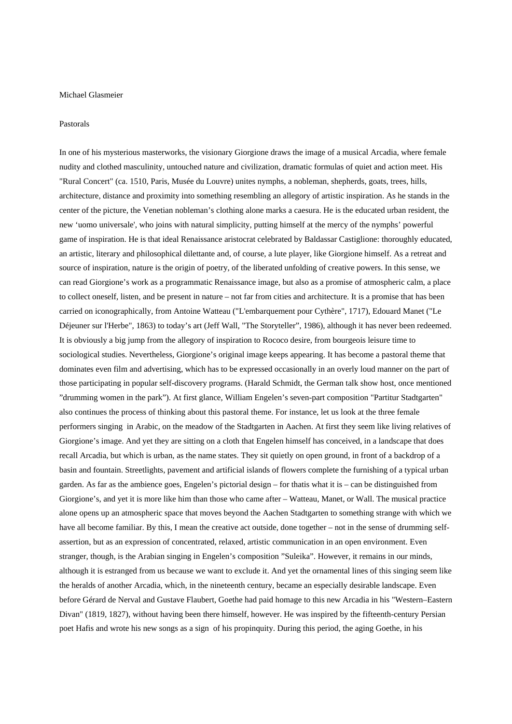## Michael Glasmeier

## Pastorals

In one of his mysterious masterworks, the visionary Giorgione draws the image of a musical Arcadia, where female nudity and clothed masculinity, untouched nature and civilization, dramatic formulas of quiet and action meet. His "Rural Concert" (ca. 1510, Paris, Musée du Louvre) unites nymphs, a nobleman, shepherds, goats, trees, hills, architecture, distance and proximity into something resembling an allegory of artistic inspiration. As he stands in the center of the picture, the Venetian nobleman's clothing alone marks a caesura. He is the educated urban resident, the new 'uomo universale', who joins with natural simplicity, putting himself at the mercy of the nymphs' powerful game of inspiration. He is that ideal Renaissance aristocrat celebrated by Baldassar Castiglione: thoroughly educated, an artistic, literary and philosophical dilettante and, of course, a lute player, like Giorgione himself. As a retreat and source of inspiration, nature is the origin of poetry, of the liberated unfolding of creative powers. In this sense, we can read Giorgione's work as a programmatic Renaissance image, but also as a promise of atmospheric calm, a place to collect oneself, listen, and be present in nature – not far from cities and architecture. It is a promise that has been carried on iconographically, from Antoine Watteau ("L'embarquement pour Cythère", 1717), Edouard Manet ("Le Déjeuner sur l'Herbe", 1863) to today's art (Jeff Wall, "The Storyteller", 1986), although it has never been redeemed. It is obviously a big jump from the allegory of inspiration to Rococo desire, from bourgeois leisure time to sociological studies. Nevertheless, Giorgione's original image keeps appearing. It has become a pastoral theme that dominates even film and advertising, which has to be expressed occasionally in an overly loud manner on the part of those participating in popular self-discovery programs. (Harald Schmidt, the German talk show host, once mentioned "drumming women in the park"). At first glance, William Engelen's seven-part composition "Partitur Stadtgarten" also continues the process of thinking about this pastoral theme. For instance, let us look at the three female performers singing in Arabic, on the meadow of the Stadtgarten in Aachen. At first they seem like living relatives of Giorgione's image. And yet they are sitting on a cloth that Engelen himself has conceived, in a landscape that does recall Arcadia, but which is urban, as the name states. They sit quietly on open ground, in front of a backdrop of a basin and fountain. Streetlights, pavement and artificial islands of flowers complete the furnishing of a typical urban garden. As far as the ambience goes, Engelen's pictorial design – for thatis what it is – can be distinguished from Giorgione's, and yet it is more like him than those who came after – Watteau, Manet, or Wall. The musical practice alone opens up an atmospheric space that moves beyond the Aachen Stadtgarten to something strange with which we have all become familiar. By this, I mean the creative act outside, done together – not in the sense of drumming selfassertion, but as an expression of concentrated, relaxed, artistic communication in an open environment. Even stranger, though, is the Arabian singing in Engelen's composition "Suleika". However, it remains in our minds, although it is estranged from us because we want to exclude it. And yet the ornamental lines of this singing seem like the heralds of another Arcadia, which, in the nineteenth century, became an especially desirable landscape. Even before Gérard de Nerval and Gustave Flaubert, Goethe had paid homage to this new Arcadia in his "Western–Eastern Divan" (1819, 1827), without having been there himself, however. He was inspired by the fifteenth-century Persian poet Hafis and wrote his new songs as a sign of his propinquity. During this period, the aging Goethe, in his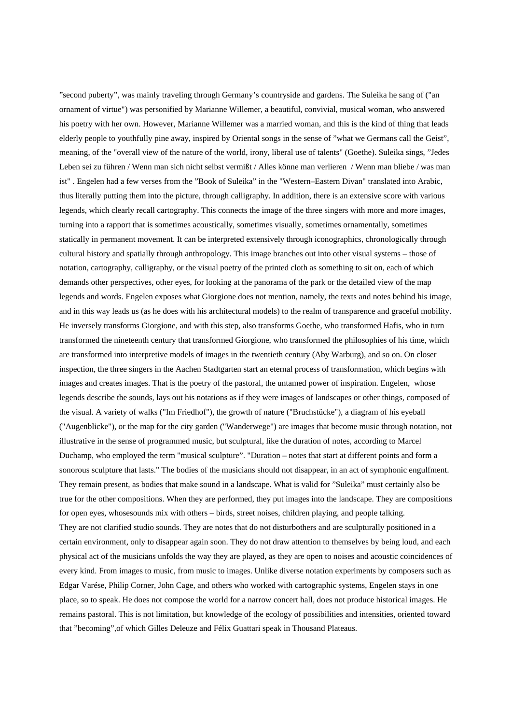"second puberty", was mainly traveling through Germany's countryside and gardens. The Suleika he sang of ("an ornament of virtue") was personified by Marianne Willemer, a beautiful, convivial, musical woman, who answered his poetry with her own. However, Marianne Willemer was a married woman, and this is the kind of thing that leads elderly people to youthfully pine away, inspired by Oriental songs in the sense of "what we Germans call the Geist", meaning, of the "overall view of the nature of the world, irony, liberal use of talents" (Goethe). Suleika sings, "Jedes Leben sei zu führen / Wenn man sich nicht selbst vermißt / Alles könne man verlieren / Wenn man bliebe / was man ist" . Engelen had a few verses from the "Book of Suleika" in the "Western–Eastern Divan" translated into Arabic, thus literally putting them into the picture, through calligraphy. In addition, there is an extensive score with various legends, which clearly recall cartography. This connects the image of the three singers with more and more images, turning into a rapport that is sometimes acoustically, sometimes visually, sometimes ornamentally, sometimes statically in permanent movement. It can be interpreted extensively through iconographics, chronologically through cultural history and spatially through anthropology. This image branches out into other visual systems – those of notation, cartography, calligraphy, or the visual poetry of the printed cloth as something to sit on, each of which demands other perspectives, other eyes, for looking at the panorama of the park or the detailed view of the map legends and words. Engelen exposes what Giorgione does not mention, namely, the texts and notes behind his image, and in this way leads us (as he does with his architectural models) to the realm of transparence and graceful mobility. He inversely transforms Giorgione, and with this step, also transforms Goethe, who transformed Hafis, who in turn transformed the nineteenth century that transformed Giorgione, who transformed the philosophies of his time, which are transformed into interpretive models of images in the twentieth century (Aby Warburg), and so on. On closer inspection, the three singers in the Aachen Stadtgarten start an eternal process of transformation, which begins with images and creates images. That is the poetry of the pastoral, the untamed power of inspiration. Engelen, whose legends describe the sounds, lays out his notations as if they were images of landscapes or other things, composed of the visual. A variety of walks ("Im Friedhof"), the growth of nature ("Bruchstücke"), a diagram of his eyeball ("Augenblicke"), or the map for the city garden ("Wanderwege") are images that become music through notation, not illustrative in the sense of programmed music, but sculptural, like the duration of notes, according to Marcel Duchamp, who employed the term "musical sculpture". "Duration – notes that start at different points and form a sonorous sculpture that lasts." The bodies of the musicians should not disappear, in an act of symphonic engulfment. They remain present, as bodies that make sound in a landscape. What is valid for "Suleika" must certainly also be true for the other compositions. When they are performed, they put images into the landscape. They are compositions for open eyes, whosesounds mix with others – birds, street noises, children playing, and people talking. They are not clarified studio sounds. They are notes that do not disturbothers and are sculpturally positioned in a certain environment, only to disappear again soon. They do not draw attention to themselves by being loud, and each physical act of the musicians unfolds the way they are played, as they are open to noises and acoustic coincidences of every kind. From images to music, from music to images. Unlike diverse notation experiments by composers such as Edgar Varése, Philip Corner, John Cage, and others who worked with cartographic systems, Engelen stays in one place, so to speak. He does not compose the world for a narrow concert hall, does not produce historical images. He remains pastoral. This is not limitation, but knowledge of the ecology of possibilities and intensities, oriented toward that "becoming",of which Gilles Deleuze and Félix Guattari speak in Thousand Plateaus.